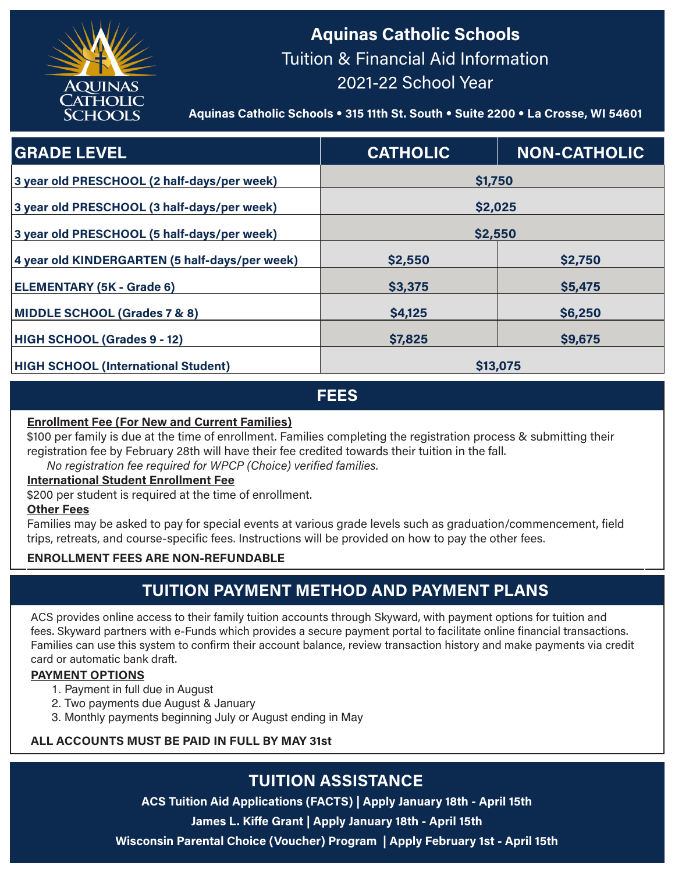

# **Aquinas Catholic Schools** Tuition & Financial Aid Information 2021-22 School Year

**Aquinas Catholic Schools** • **315 11th St. South** • **Suite 2200** • **La Crosse, WI 54601**

| <b>GRADE LEVEL</b>                             | <b>CATHOLIC</b> | <b>NON-CATHOLIC</b> |
|------------------------------------------------|-----------------|---------------------|
| 3 year old PRESCHOOL (2 half-days/per week)    | \$1,750         |                     |
| 3 year old PRESCHOOL (3 half-days/per week)    | \$2,025         |                     |
| 3 year old PRESCHOOL (5 half-days/per week)    | \$2,550         |                     |
| 4 year old KINDERGARTEN (5 half-days/per week) | \$2,550         | \$2,750             |
| <b>ELEMENTARY (5K - Grade 6)</b>               | \$3,375         | \$5,475             |
| <b>MIDDLE SCHOOL (Grades 7 &amp; 8)</b>        | \$4,125         | \$6,250             |
| HIGH SCHOOL (Grades 9 - 12)                    | \$7,825         | \$9,675             |
| <b>HIGH SCHOOL (International Student)</b>     | \$13,075        |                     |

**FEES**

#### **Enrollment Fee (For New and Current Families)**

\$100 per family is due at the time of enrollment. Families completing the registration process & submitting their registration fee by February 28th will have their fee credited towards their tuition in the fall.

## *No registration fee required for WPCP (Choice) verified families.*

#### **International Student Enrollment Fee**

\$200 per student is required at the time of enrollment.

#### **Other Fees**

Families may be asked to pay for special events at various grade levels such as graduation/commencement, field trips, retreats, and course-specific fees. Instructions will be provided on how to pay the other fees.

#### **ENROLLMENT FEES ARE NON-REFUNDABLE**

## **TUITION PAYMENT METHOD AND PAYMENT PLANS**

ACS provides online access to their family tuition accounts through Skyward, with payment options for tuition and fees. Skyward partners with e-Funds which provides a secure payment portal to facilitate online financial transactions. Families can use this system to confirm their account balance, review transaction history and make payments via credit card or automatic bank draft.

#### **PAYMENT OPTIONS**

- 1. Payment in full due in August
- 2. Two payments due August & January
- 3. Monthly payments beginning July or August ending in May

#### **ALL ACCOUNTS MUST BE PAID IN FULL BY MAY 31st**

# **TUITION ASSISTANCE**

**ACS Tuition Aid Applications (FACTS) | Apply January 18th - April 15th**

**James L. Kiffe Grant | Apply January 18th - April 15th**

**Wisconsin Parental Choice (Voucher) Program | Apply February 1st - April 15th**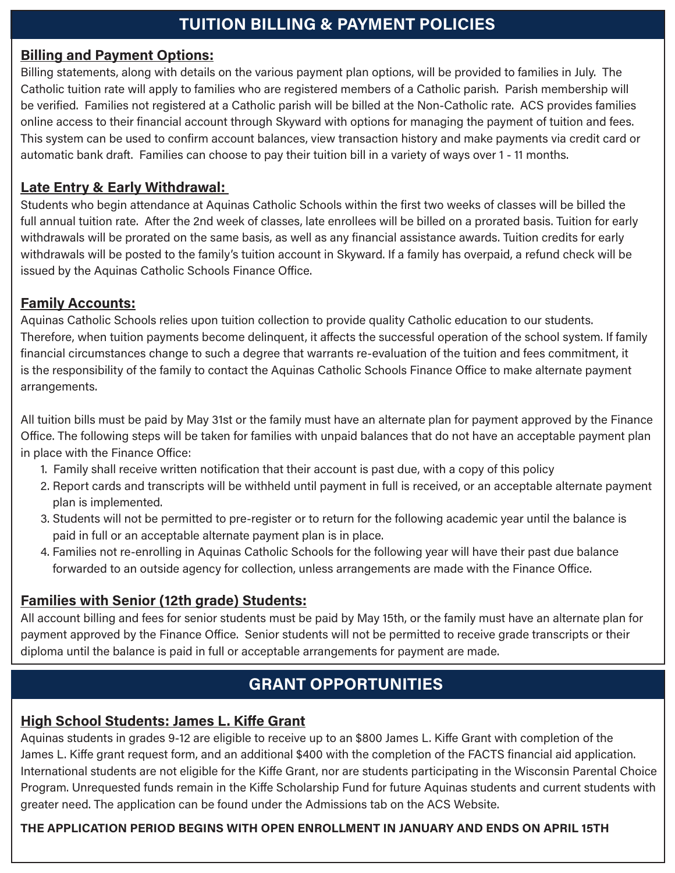## **Billing and Payment Options:**

Billing statements, along with details on the various payment plan options, will be provided to families in July. The Catholic tuition rate will apply to families who are registered members of a Catholic parish. Parish membership will be verified. Families not registered at a Catholic parish will be billed at the Non-Catholic rate. ACS provides families online access to their financial account through Skyward with options for managing the payment of tuition and fees. This system can be used to confirm account balances, view transaction history and make payments via credit card or automatic bank draft. Families can choose to pay their tuition bill in a variety of ways over 1 - 11 months.

## **Late Entry & Early Withdrawal:**

Students who begin attendance at Aquinas Catholic Schools within the first two weeks of classes will be billed the full annual tuition rate. After the 2nd week of classes, late enrollees will be billed on a prorated basis. Tuition for early withdrawals will be prorated on the same basis, as well as any financial assistance awards. Tuition credits for early withdrawals will be posted to the family's tuition account in Skyward. If a family has overpaid, a refund check will be issued by the Aquinas Catholic Schools Finance Office.

## **Family Accounts:**

Aquinas Catholic Schools relies upon tuition collection to provide quality Catholic education to our students. Therefore, when tuition payments become delinquent, it affects the successful operation of the school system. If family financial circumstances change to such a degree that warrants re-evaluation of the tuition and fees commitment, it is the responsibility of the family to contact the Aquinas Catholic Schools Finance Office to make alternate payment arrangements.

All tuition bills must be paid by May 31st or the family must have an alternate plan for payment approved by the Finance Office. The following steps will be taken for families with unpaid balances that do not have an acceptable payment plan in place with the Finance Office:

- 1. Family shall receive written notification that their account is past due, with a copy of this policy
- 2. Report cards and transcripts will be withheld until payment in full is received, or an acceptable alternate payment plan is implemented.
- 3. Students will not be permitted to pre-register or to return for the following academic year until the balance is paid in full or an acceptable alternate payment plan is in place.
- 4. Families not re-enrolling in Aquinas Catholic Schools for the following year will have their past due balance forwarded to an outside agency for collection, unless arrangements are made with the Finance Office.

## **Families with Senior (12th grade) Students:**

All account billing and fees for senior students must be paid by May 15th, or the family must have an alternate plan for payment approved by the Finance Office. Senior students will not be permitted to receive grade transcripts or their diploma until the balance is paid in full or acceptable arrangements for payment are made.

# **GRANT OPPORTUNITIES**

## **High School Students: James L. Kiffe Grant**

Aquinas students in grades 9-12 are eligible to receive up to an \$800 James L. Kiffe Grant with completion of the James L. Kiffe grant request form, and an additional \$400 with the completion of the FACTS financial aid application. International students are not eligible for the Kiffe Grant, nor are students participating in the Wisconsin Parental Choice Program. Unrequested funds remain in the Kiffe Scholarship Fund for future Aquinas students and current students with greater need. The application can be found under the Admissions tab on the ACS Website.

### **THE APPLICATION PERIOD BEGINS WITH OPEN ENROLLMENT IN JANUARY AND ENDS ON APRIL 15TH**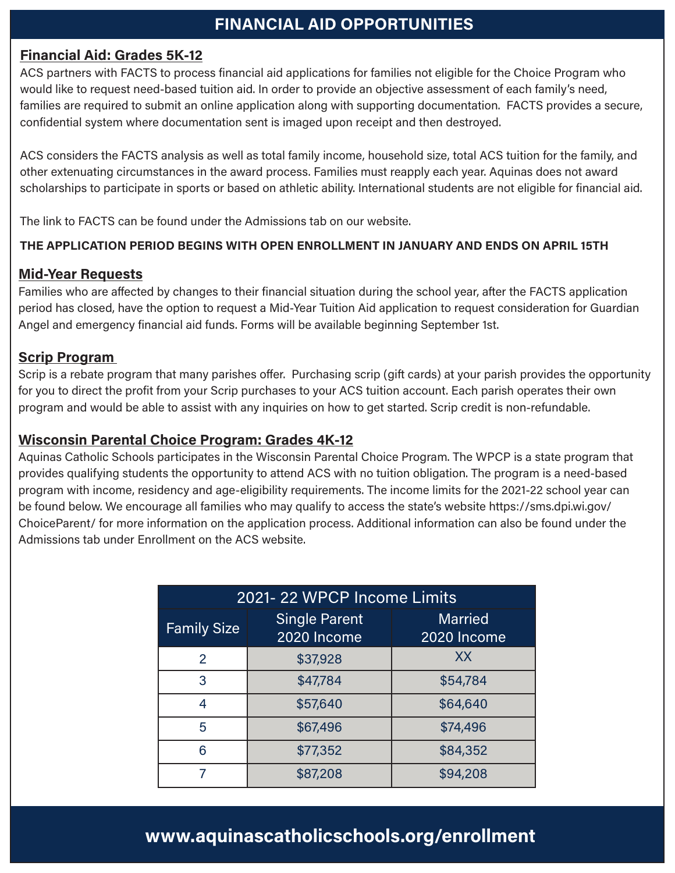## <sup>1</sup> **FINANCIAL AID OPPORTUNITIES**

### **Financial Aid: Grades 5K-12**

ACS partners with FACTS to process financial aid applications for families not eligible for the Choice Program who would like to request need-based tuition aid. In order to provide an objective assessment of each family's need, families are required to submit an online application along with supporting documentation. FACTS provides a secure, confidential system where documentation sent is imaged upon receipt and then destroyed.

ACS considers the FACTS analysis as well as total family income, household size, total ACS tuition for the family, and other extenuating circumstances in the award process. Families must reapply each year. Aquinas does not award scholarships to participate in sports or based on athletic ability. International students are not eligible for financial aid.

The link to FACTS can be found under the Admissions tab on our website.

### **THE APPLICATION PERIOD BEGINS WITH OPEN ENROLLMENT IN JANUARY AND ENDS ON APRIL 15TH**

### **Mid-Year Requests**

Families who are affected by changes to their financial situation during the school year, after the FACTS application period has closed, have the option to request a Mid-Year Tuition Aid application to request consideration for Guardian Angel and emergency financial aid funds. Forms will be available beginning September 1st.

### **Scrip Program**

Scrip is a rebate program that many parishes offer. Purchasing scrip (gift cards) at your parish provides the opportunity for you to direct the profit from your Scrip purchases to your ACS tuition account. Each parish operates their own program and would be able to assist with any inquiries on how to get started. Scrip credit is non-refundable.

### **Wisconsin Parental Choice Program: Grades 4K-12**

Aquinas Catholic Schools participates in the Wisconsin Parental Choice Program. The WPCP is a state program that provides qualifying students the opportunity to attend ACS with no tuition obligation. The program is a need-based program with income, residency and age-eligibility requirements. The income limits for the 2021-22 school year can be found below. We encourage all families who may qualify to access the state's website https://sms.dpi.wi.gov/ ChoiceParent/ for more information on the application process. Additional information can also be found under the Admissions tab under Enrollment on the ACS website.

| 2021-22 WPCP Income Limits |                                     |                               |
|----------------------------|-------------------------------------|-------------------------------|
| <b>Family Size</b>         | <b>Single Parent</b><br>2020 Income | <b>Married</b><br>2020 Income |
| $\overline{2}$             | \$37,928                            | XX                            |
| 3                          | \$47,784                            | \$54,784                      |
| 4                          | \$57,640                            | \$64,640                      |
| 5                          | \$67,496                            | \$74,496                      |
| 6                          | \$77,352                            | \$84,352                      |
|                            | \$87,208                            | \$94,208                      |

# **www.aquinascatholicschools.org/enrollment**